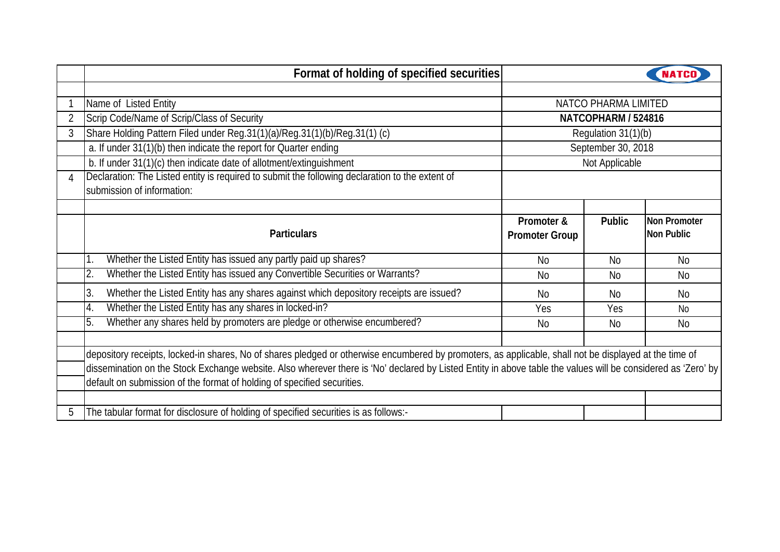|   | Format of holding of specified securities                                                                                                                    |                       |                     |                |  |  |  |  |  |  |  |
|---|--------------------------------------------------------------------------------------------------------------------------------------------------------------|-----------------------|---------------------|----------------|--|--|--|--|--|--|--|
|   |                                                                                                                                                              |                       |                     |                |  |  |  |  |  |  |  |
|   | Name of Listed Entity                                                                                                                                        | NATCO PHARMA LIMITED  |                     |                |  |  |  |  |  |  |  |
| 2 | Scrip Code/Name of Scrip/Class of Security                                                                                                                   | NATCOPHARM / 524816   |                     |                |  |  |  |  |  |  |  |
| 3 | Share Holding Pattern Filed under Reg.31(1)(a)/Reg.31(1)(b)/Reg.31(1) (c)                                                                                    |                       | Regulation 31(1)(b) |                |  |  |  |  |  |  |  |
|   | a. If under 31(1)(b) then indicate the report for Quarter ending                                                                                             |                       | September 30, 2018  |                |  |  |  |  |  |  |  |
|   | b. If under 31(1)(c) then indicate date of allotment/extinguishment                                                                                          |                       | Not Applicable      |                |  |  |  |  |  |  |  |
| 4 | Declaration: The Listed entity is required to submit the following declaration to the extent of                                                              |                       |                     |                |  |  |  |  |  |  |  |
|   | submission of information:                                                                                                                                   |                       |                     |                |  |  |  |  |  |  |  |
|   |                                                                                                                                                              |                       |                     |                |  |  |  |  |  |  |  |
|   |                                                                                                                                                              | Promoter &            | <b>Public</b>       | Non Promoter   |  |  |  |  |  |  |  |
|   | <b>Particulars</b>                                                                                                                                           | <b>Promoter Group</b> |                     | Non Public     |  |  |  |  |  |  |  |
|   | Whether the Listed Entity has issued any partly paid up shares?                                                                                              | <b>No</b>             | <b>No</b>           | N <sub>0</sub> |  |  |  |  |  |  |  |
|   | Whether the Listed Entity has issued any Convertible Securities or Warrants?<br>2.                                                                           | <b>No</b>             | <b>No</b>           | <b>No</b>      |  |  |  |  |  |  |  |
|   | Whether the Listed Entity has any shares against which depository receipts are issued?<br>3.                                                                 | <b>No</b>             | <b>No</b>           | No             |  |  |  |  |  |  |  |
|   | Whether the Listed Entity has any shares in locked-in?<br>4.                                                                                                 | Yes                   | Yes                 | No.            |  |  |  |  |  |  |  |
|   | Whether any shares held by promoters are pledge or otherwise encumbered?<br>5.                                                                               | <b>No</b>             | <b>No</b>           | <b>No</b>      |  |  |  |  |  |  |  |
|   |                                                                                                                                                              |                       |                     |                |  |  |  |  |  |  |  |
|   | depository receipts, locked-in shares, No of shares pledged or otherwise encumbered by promoters, as applicable, shall not be displayed at the time of       |                       |                     |                |  |  |  |  |  |  |  |
|   | dissemination on the Stock Exchange website. Also wherever there is 'No' declared by Listed Entity in above table the values will be considered as 'Zero' by |                       |                     |                |  |  |  |  |  |  |  |
|   | default on submission of the format of holding of specified securities.                                                                                      |                       |                     |                |  |  |  |  |  |  |  |
|   |                                                                                                                                                              |                       |                     |                |  |  |  |  |  |  |  |
|   | The tabular format for disclosure of holding of specified securities is as follows:-                                                                         |                       |                     |                |  |  |  |  |  |  |  |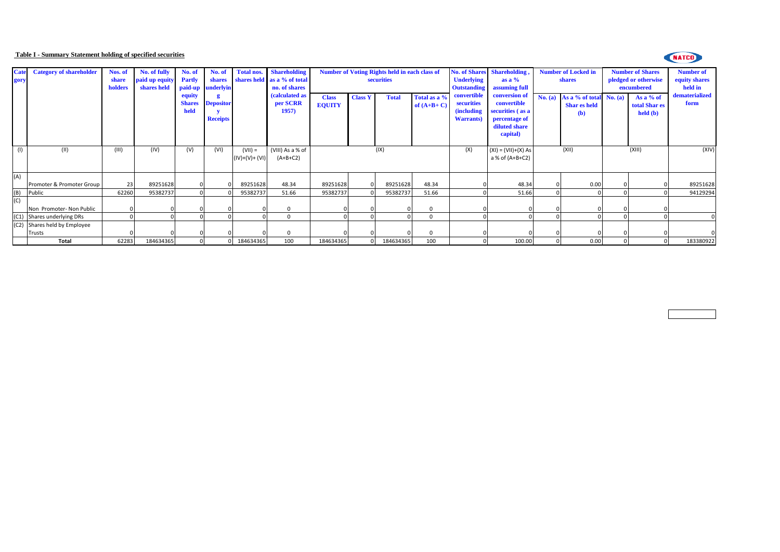## **Table I - Summary Statement holding of specified securities**

## NATCO

| <b>Cate</b><br>gory | <b>Category of shareholder</b> | Nos. of<br>share<br>holders | No. of fully<br>paid up equity<br>shares held | No. of<br><b>Partly</b>         | No. of<br>shares<br>paid-up underlyin |                             | Total nos. Shareholding<br>shares held as a % of total<br>no. of shares |                               |                | <b>Number of Voting Rights held in each class of</b><br>securities |                              | <b>Underlying</b><br><b>Outstanding</b>                              | No. of Shares Shareholding,<br>as a $%$<br>assuming full                                       |         | <b>Number of Locked in</b><br>shares                    |        | <b>Number of Shares</b><br>pledged or otherwise<br>encumbered | <b>Number of</b><br>equity shares<br>held in |
|---------------------|--------------------------------|-----------------------------|-----------------------------------------------|---------------------------------|---------------------------------------|-----------------------------|-------------------------------------------------------------------------|-------------------------------|----------------|--------------------------------------------------------------------|------------------------------|----------------------------------------------------------------------|------------------------------------------------------------------------------------------------|---------|---------------------------------------------------------|--------|---------------------------------------------------------------|----------------------------------------------|
|                     |                                |                             |                                               | equity<br><b>Shares</b><br>held | <b>Depositor</b><br><b>Receipts</b>   |                             | (calculated as<br>per SCRR<br>1957)                                     | <b>Class</b><br><b>EQUITY</b> | <b>Class Y</b> | <b>Total</b>                                                       | Total as a %<br>of $(A+B+C)$ | convertible<br>securities<br><i>(including)</i><br><b>Warrants</b> ) | conversion of<br>convertible<br>securities (as a<br>percentage of<br>diluted share<br>capital) | No. (a) | As a % of total $No. (a)$<br><b>Shar es held</b><br>(b) |        | As a % of<br>total Shar es<br>$\text{held}(\textbf{b})$       | dematerialized<br>form                       |
| (1)                 | (II)                           | (III)                       | (IV)                                          | (V)                             | (VI)                                  | $(VII) =$<br>(IV)+(V)+ (VI) | (VIII) As a % of<br>$(A+B+C2)$                                          |                               |                | (IX)                                                               |                              | (X)                                                                  | $(XI) = (VII)+(X) As$<br>a % of (A+B+C2)                                                       |         | (XII)                                                   | (XIII) |                                                               | (XIV)                                        |
| (A)                 | Promoter & Promoter Group      | 23                          | 89251628                                      |                                 |                                       | 89251628                    | 48.34                                                                   | 89251628                      |                | 89251628                                                           | 48.34                        |                                                                      | 48.34                                                                                          |         | 0.00                                                    |        |                                                               | 89251628                                     |
| (B)                 | Public                         | 62260                       | 95382737                                      |                                 |                                       | 95382737                    | 51.66                                                                   | 95382737                      |                | 95382737                                                           | 51.66                        |                                                                      | 51.66                                                                                          |         |                                                         |        |                                                               | 94129294                                     |
| (C)                 | Non Promoter- Non Public       |                             |                                               |                                 |                                       |                             | $\Omega$                                                                |                               |                |                                                                    |                              |                                                                      |                                                                                                |         |                                                         |        |                                                               |                                              |
|                     | (C1) Shares underlying DRs     |                             |                                               |                                 |                                       |                             | $\Omega$                                                                |                               |                |                                                                    |                              |                                                                      |                                                                                                |         |                                                         |        |                                                               |                                              |
|                     | (C2) Shares held by Employee   |                             |                                               |                                 |                                       |                             |                                                                         |                               |                |                                                                    |                              |                                                                      |                                                                                                |         |                                                         |        |                                                               |                                              |
|                     | Trusts                         |                             |                                               |                                 |                                       |                             |                                                                         |                               |                |                                                                    |                              |                                                                      |                                                                                                |         |                                                         |        |                                                               |                                              |
|                     | <b>Total</b>                   | 62283                       | 184634365                                     |                                 |                                       | 184634365                   | 100                                                                     | 184634365                     |                | 184634365                                                          | 100                          |                                                                      | 100.00                                                                                         |         | 0.00                                                    |        |                                                               | 183380922                                    |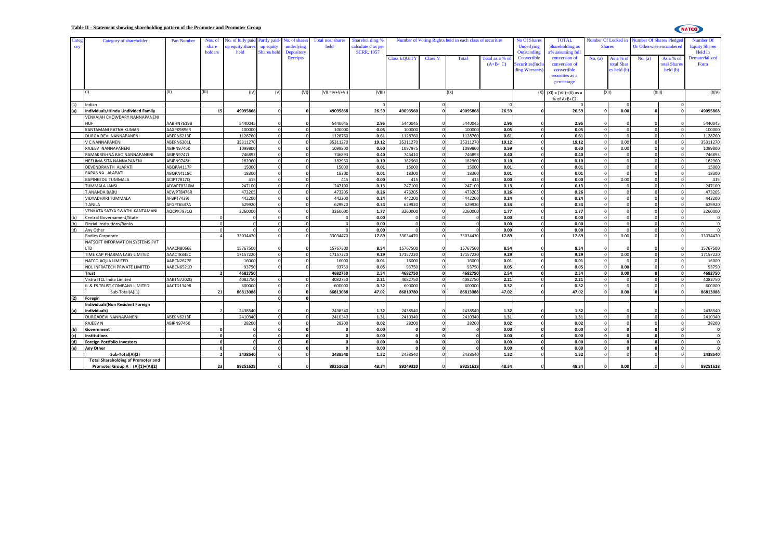| late; | Category of shareholder                   | Pan Number        | Nos. of                  | lo. of fully pai | Partly paid-            | No. of share      | Total nos. shares     | Sharehol ding %    |                     |                      | Number of Voting Rights held in each class of securities | <b>No Of Shares</b> | <b>TOTAL</b>    | Number Of Locked in         |               | <b>Number Of Shares Pledge</b> |                         | Number Of            |                     |
|-------|-------------------------------------------|-------------------|--------------------------|------------------|-------------------------|-------------------|-----------------------|--------------------|---------------------|----------------------|----------------------------------------------------------|---------------------|-----------------|-----------------------------|---------------|--------------------------------|-------------------------|----------------------|---------------------|
| ory   |                                           |                   | share                    | up equity share  | up equity               | underlying        | held                  | calculate d as per |                     |                      |                                                          | Underlying          | Shareholding as |                             | <b>Shares</b> |                                | Or Otherwise encumbered | <b>Equity Shares</b> |                     |
|       |                                           |                   | holders                  | held             | <b>Shares</b> held      | <b>Depository</b> |                       | <b>SCRR, 1957</b>  |                     |                      |                                                          |                     | Outstanding     | a% assuming full            |               |                                |                         |                      | Held in             |
|       |                                           |                   |                          |                  |                         | <b>Receipts</b>   |                       |                    | <b>Class EQUITY</b> | <b>Class Y</b>       | Total                                                    | Total as a %        | Convertible     | conversion of               | No. (a)       | As a % c                       | No. (a)                 | As a % of            | Dematerialized      |
|       |                                           |                   |                          |                  |                         |                   |                       |                    |                     |                      |                                                          | $(A+B+C)$           | curities(Incl   | conversion of               |               | total Shar                     |                         | total Share          | Form                |
|       |                                           |                   |                          |                  |                         |                   |                       |                    |                     |                      |                                                          |                     | ling Warrants   | convertible                 |               | es held (b)                    |                         | held(b)              |                     |
|       |                                           |                   |                          |                  |                         |                   |                       |                    |                     |                      |                                                          |                     |                 | securities as a             |               |                                |                         |                      |                     |
|       |                                           |                   |                          |                  |                         |                   |                       |                    |                     |                      |                                                          |                     |                 | percentage                  |               |                                |                         |                      |                     |
|       |                                           | II)               | (III)                    |                  |                         |                   |                       |                    |                     |                      |                                                          |                     |                 |                             |               |                                |                         |                      |                     |
|       |                                           |                   |                          | (IV)             | (V)                     | (VI)              | $(VII = IV + V + VI)$ | (VIII)             |                     |                      | (IX)                                                     |                     |                 | $(X)$ $(XI) = (VII)+(X)$ as |               | (XII)                          | (XIII)                  |                      | (XIV)               |
| (1)   | Indian                                    |                   |                          |                  |                         |                   |                       |                    |                     | $\Omega$             |                                                          | $\Omega$            |                 | % of $A+B+C2$               |               |                                |                         |                      |                     |
| (a)   | Individuals/Hindu Undivided Family        |                   | 15                       | 49095868         | $\mathbf{0}$            | $\Omega$          | 49095868              | 26.59              | 49093560            | $\Omega$             | 49095868                                                 | 26.59               |                 | 26.59                       | $\Omega$      | 0.00                           | $\Omega$                | $\Omega$             | 49095868            |
|       | VENKAIAH CHOWDARY NANNAPANENI             |                   |                          |                  |                         |                   |                       |                    |                     |                      |                                                          |                     |                 |                             |               |                                |                         |                      |                     |
|       | HUF                                       | AABHN7619B        |                          | 5440045          |                         |                   | 5440045               | 2.95               | 5440045             |                      | 5440045                                                  | 2.95                |                 | 2.95                        |               |                                |                         |                      | 5440045             |
|       | KANTAMANI RATNA KUMAR                     | AAXPK9896R        |                          | 100000           | $\overline{0}$          | $\Omega$          | 100000                | 0.05               | 100000              | $\Omega$             | 100000                                                   | 0.05                |                 | 0.05                        | $\Omega$      | $\Omega$                       | $\Omega$                | $\Omega$             | 100000              |
|       |                                           |                   |                          | 1128760          | $\Omega$                | $\Omega$          |                       | 0.61               | 1128760             | $\Omega$             |                                                          | 0.61                |                 | 0.61                        |               |                                |                         |                      | 1128760             |
|       | DURGA DEVI NANNAPANENI                    | ABEPN6213F        |                          |                  | $\Omega$                |                   | 1128760               |                    |                     | $\Omega$             | 1128760                                                  |                     |                 |                             |               |                                |                         |                      |                     |
|       | V C NANNAPANENI                           | ABEPN6301L        |                          | 35311270         | $\Omega$                |                   | 35311270              | 19.12<br>0.60      | 35311270            | $\Omega$             | 3531127                                                  | 19.12               |                 | 19.12                       |               | 0.00                           | $\Omega$                |                      | 35311270<br>1099800 |
|       | RAJEEV NANNAPANENI                        | ABIPN9746K        |                          | 1099800          |                         | $\Omega$          | 1099800               |                    | 1097975             |                      | 1099800                                                  | 0.59                |                 | 0.60                        |               | 0.00                           |                         |                      |                     |
|       | RAMAKRISHNA RAO NANNAPANENI               | <b>ABIPN9747J</b> |                          | 746893           | $\Omega$<br>$\Omega$    | $\Omega$          | 74689                 | 0.40               | 746410              | $\Omega$<br>$\Omega$ | 74689                                                    | 0.40                |                 | 0.40                        |               | $\Omega$                       | $\Omega$                |                      | 746893              |
|       | NEELIMA SITA NANNAPANENI                  | ABIPN9748H        |                          | 182960           |                         |                   | 182960                | 0.10               | 182960              |                      | 182960                                                   | 0.10                |                 | 0.10                        |               |                                |                         |                      | 182960              |
|       | DEVENDRANTH ALAPATI                       | ABQPA4117P        |                          | 15000            |                         |                   | 15000                 | 0.01               | 15000               |                      | 15000                                                    | 0.01                |                 | 0.01                        |               |                                |                         |                      | 15000               |
|       | BAPANNA ALAPATI                           | ABOPA4118C        |                          | 18300            | $\Omega$                |                   | 18300                 | 0.01               | 18300               | $\Omega$             | 18300                                                    | 0.01                |                 | 0.01                        |               |                                |                         |                      | 18300               |
|       | BAPINEEDU TUMMALA                         | <b>ACIPT7817Q</b> |                          | 415              | $\Omega$                |                   | 415                   | 0.00               | 415                 | $\Omega$             | 415                                                      | 0.00                |                 | 0.00                        |               | 0.00                           | $\Omega$                | $\Omega$             | 415                 |
|       | TUMMALA JANSI                             | ADWPT8310M        |                          | 247100           | $\Omega$                | $\Omega$          | 247100                | 0.13               | 247100              | $\Omega$             | 247100                                                   | 0.13                |                 | 0.13                        |               |                                | $\Omega$                |                      | 247100              |
|       | T ANANDA BABU                             | AEWPT8476R        |                          | 473205           |                         |                   | 47320                 | 0.26               | 473205              |                      | 473205                                                   | 0.26                |                 | 0.26                        |               |                                |                         |                      | 473205              |
|       | VIDYADHARI TUMMALA                        | AFBPT7439J        |                          | 442200           |                         |                   | 442200                | 0.24               | 442200              |                      | 442200                                                   | 0.24                |                 | 0.24                        |               |                                |                         |                      | 442200              |
|       | <b>TANILA</b>                             | AFGPT6537A        |                          | 629920           | $\Omega$                |                   | 629920                | 0.34               | 629920              | $\Omega$             | 629920                                                   | 0.34                |                 | 0.34                        |               |                                |                         |                      | 629920              |
|       | VENKATA SATYA SWATHI KANTAMANI            | AQCPK7971Q        |                          | 3260000          |                         |                   | 3260000               | 1.77               | 3260000             |                      | 3260000                                                  | 1.77                |                 | 1.77                        |               |                                |                         |                      | 3260000             |
| (h)   | Central Governament/State                 |                   |                          |                  | $\Omega$                | $\Omega$          |                       | 0.00               |                     | $\Omega$             |                                                          | 0.00                |                 | 0.00                        |               |                                |                         |                      |                     |
|       | incial Institutions/Banks                 |                   |                          |                  |                         | $\Omega$          |                       | 0.00               |                     | $\Omega$             |                                                          | 0.00                |                 | 0.00                        |               |                                | $\Omega$                |                      |                     |
|       | Any Other                                 |                   |                          |                  |                         |                   |                       | 0.00               |                     |                      |                                                          | 0.00                |                 | 0.00                        |               |                                |                         |                      |                     |
|       | <b>Bodies Corporate</b>                   |                   |                          | 33034470         | $\Omega$                |                   | 33034470              | 17.89              | 33034470            |                      | 33034470                                                 | 17.89               |                 | 17.89                       |               | 0.00                           |                         |                      | 33034470            |
|       | NATSOFT INFORMATION SYSTEMS PVT           |                   |                          |                  |                         |                   |                       |                    |                     |                      |                                                          |                     |                 |                             |               |                                |                         |                      |                     |
|       | <b>TD</b>                                 | AAACN8056E        |                          | 15767500         |                         |                   | 15767500              | 8.54               | 15767500            |                      | 15767500                                                 | 8.54                |                 | 8.54                        |               |                                |                         |                      | 15767500            |
|       | TIME CAP PHARMA LABS LIMITED              | AAACT8345C        |                          | 17157220         | $\Omega$                | $\Omega$          | 17157220              | 9.29               | 17157220            | $\Omega$             | 17157220                                                 | 9.29                |                 | 9.29                        | $\Omega$      | 0.00                           | $\Omega$                |                      | 17157220            |
|       | NATCO AQUA LIMITED                        | AABCN2627E        |                          | 16000            | $\Omega$                | $\Omega$          | 16000                 | 0.01               | 16000               | $\Omega$             | 16000                                                    | 0.01                |                 | 0.01                        | $\Omega$      |                                | $\Omega$                |                      | 16000               |
|       | NDL INFRATECH PRIVATE LIMITED             | AABCN6521D        |                          | 93750            | $\Omega$                |                   | 93750                 | 0.05               | 93750               | $\Omega$             | 93750                                                    | 0.05                |                 | 0.05                        | $\Omega$      | 0.00                           | $\Omega$                |                      | 93750               |
|       | <b>Trust</b>                              |                   |                          | 4682750          |                         |                   | 4682750               | 2.54               | 4682750             | $\circ$              | 4682750                                                  | 2.54                | $\Omega$        | 2.54                        | $\mathbf{0}$  | 0.00                           | $\mathbf{0}$            | $\mathbf{o}$         | 4682750             |
|       | Vistra ITCL India Limited                 | AABTN7202Q        |                          | 4082750          |                         |                   | 4082750               | 2.21               | 4082750             | $\Omega$             | 4082750                                                  | 2.21                |                 | 2.21                        |               |                                |                         |                      | 4082750             |
|       | L & FS TRUST COMPANY LIMITED              | AACTD1349R        |                          | 600000           | $\Omega$                |                   | 600000                | 0.32               | 600000              |                      | 600000                                                   | 0.32                |                 | 0.32                        |               |                                |                         |                      | 600000              |
|       | Sub-Total(A)(1)                           |                   | 21                       | 86813088         | $\overline{\mathbf{0}}$ | $\mathbf{a}$      | 86813088              | 47.02              | 86810780            | $\Omega$             | 86813088                                                 | 47.02               |                 | 47.02                       | $\Omega$      | 0.00                           | $\Omega$                | $\mathbf{0}$         | 86813088            |
| (2)   | Foregin                                   |                   |                          |                  | $\Omega$                | $\Omega$          |                       |                    |                     |                      |                                                          |                     |                 |                             |               |                                |                         |                      |                     |
|       | <b>Individuals</b> (Non Resident Foreign  |                   |                          |                  |                         |                   |                       |                    |                     |                      |                                                          |                     |                 |                             |               |                                |                         |                      |                     |
| (a    | Individuals)                              |                   |                          | 2438540          |                         |                   | 2438540               | 1.32               | 2438540             |                      | 2438540                                                  | 1.32                |                 | 1.32                        |               |                                |                         |                      | 2438540             |
|       | DURGADEVI NANNAPANENI                     | ABEPN6213F        |                          | 2410340          | $\Omega$                |                   | 2410340               | 1.31               | 2410340             |                      | 2410340                                                  | 1.31                |                 | 1.31                        | $\Omega$      |                                |                         |                      | 2410340             |
|       | RAJEEV N                                  | ABIPN9746K        |                          | 28200            | $\Omega$                | $\Omega$          | 28200                 | 0.02               | 28200               | $\Omega$             | 28200                                                    | 0.02                |                 | 0.02                        | $\Omega$      | $\Omega$                       | $\Omega$                | $\Omega$             | 28200               |
| ίы)   | Government                                |                   |                          |                  | $\Omega$                | $\Omega$          |                       | 0.00               |                     | $\Omega$             |                                                          | 0.00                |                 | 0.00                        | $\Omega$      |                                | $\Omega$                |                      |                     |
| (c)   | <b>Institutions</b>                       |                   |                          | $\Omega$         | $\Omega$                |                   | $\Omega$              | 0.00               |                     | $\Omega$             |                                                          | 0.00                |                 | 0.00                        | $\mathbf{o}$  |                                | $\Omega$                |                      |                     |
| (d    | Foreign Portfolio Investors               |                   |                          |                  | $\Omega$                |                   |                       | 0.00               |                     | $\Omega$             |                                                          | 0.00                |                 | 0.00                        | $\Omega$      |                                | $\Omega$                |                      |                     |
| (e)   | Any Other                                 |                   |                          | $\sqrt{2}$       | $\Omega$                | $\Omega$          |                       | 0.00               |                     | $\Omega$             |                                                          | 0.00                |                 | 0.00                        | $\mathbf{o}$  | $\Omega$                       | $\Omega$                | $\mathbf 0$          |                     |
|       | Sub-Total(A)(2)                           |                   | $\overline{\phantom{a}}$ | 2438540          | $\Omega$                | $\Omega$          | 2438540               | 1.32               | 2438540             | $\Omega$             | 2438540                                                  | 1.32                |                 | 1.32                        | $\Omega$      | $\Omega$                       | $\Omega$                | $\Omega$             | 2438540             |
|       | <b>Total Shareholding of Promoter and</b> |                   |                          |                  |                         |                   |                       |                    |                     |                      |                                                          |                     |                 |                             |               |                                |                         |                      |                     |
|       | Promoter Group $A = (A)(1)+(A)(2)$        |                   | 23                       | 89251628         |                         |                   | 89251628              | 48.34              | 89249320            |                      | 89251628                                                 | 48.34               |                 | 48.34                       |               | 0.00                           |                         |                      | 89251628            |
|       |                                           |                   |                          |                  |                         |                   |                       |                    |                     |                      |                                                          |                     |                 |                             |               |                                |                         |                      |                     |